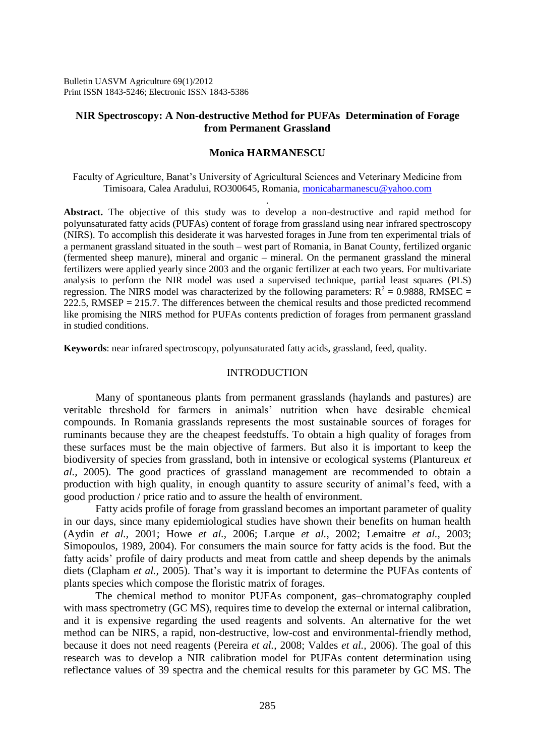Bulletin UASVM Agriculture 69(1)/2012 Print ISSN 1843-5246; Electronic ISSN 1843-5386

# **NIR Spectroscopy: A Non-destructive Method for PUFAs Determination of Forage from Permanent Grassland**

# **Monica HARMANESCU**

Faculty of Agriculture, Banat's University of Agricultural Sciences and Veterinary Medicine from Timisoara, Calea Aradului, RO300645, Romania, [monicaharmanescu@yahoo.com](mailto:monicaharmanescu@yahoo.com) .

**Abstract.** The objective of this study was to develop a non-destructive and rapid method for polyunsaturated fatty acids (PUFAs) content of forage from grassland using near infrared spectroscopy (NIRS). To accomplish this desiderate it was harvested forages in June from ten experimental trials of a permanent grassland situated in the south – west part of Romania, in Banat County, fertilized organic (fermented sheep manure), mineral and organic – mineral. On the permanent grassland the mineral fertilizers were applied yearly since 2003 and the organic fertilizer at each two years. For multivariate analysis to perform the NIR model was used a supervised technique, partial least squares (PLS) regression. The NIRS model was characterized by the following parameters:  $R^2 = 0.9888$ , RMSEC =  $222.5$ , RMSEP = 215.7. The differences between the chemical results and those predicted recommend like promising the NIRS method for PUFAs contents prediction of forages from permanent grassland in studied conditions.

**Keywords**: near infrared spectroscopy, polyunsaturated fatty acids, grassland, feed, quality.

## INTRODUCTION

Many of spontaneous plants from permanent grasslands (haylands and pastures) are veritable threshold for farmers in animals' nutrition when have desirable chemical compounds. In Romania grasslands represents the most sustainable sources of forages for ruminants because they are the cheapest feedstuffs. To obtain a high quality of forages from these surfaces must be the main objective of farmers. But also it is important to keep the biodiversity of species from grassland, both in intensive or ecological systems (Plantureux *et al.,* 2005). The good practices of grassland management are recommended to obtain a production with high quality, in enough quantity to assure security of animal's feed, with a good production / price ratio and to assure the health of environment.

Fatty acids profile of forage from grassland becomes an important parameter of quality in our days, since many epidemiological studies have shown their benefits on human health (Aydin *et al.,* 2001; Howe *et al.,* 2006; Larque *et al.*, 2002; Lemaitre *et al.,* 2003; Simopoulos, 1989, 2004). For consumers the main source for fatty acids is the food. But the fatty acids' profile of dairy products and meat from cattle and sheep depends by the animals diets (Clapham *et al.,* 2005). That's way it is important to determine the PUFAs contents of plants species which compose the floristic matrix of forages.

The chemical method to monitor PUFAs component, gas–chromatography coupled with mass spectrometry (GC MS), requires time to develop the external or internal calibration, and it is expensive regarding the used reagents and solvents. An alternative for the wet method can be NIRS, a rapid, non-destructive, low-cost and environmental-friendly method, because it does not need reagents (Pereira *et al.,* 2008; Valdes *et al.,* 2006). The goal of this research was to develop a NIR calibration model for PUFAs content determination using reflectance values of 39 spectra and the chemical results for this parameter by GC MS. The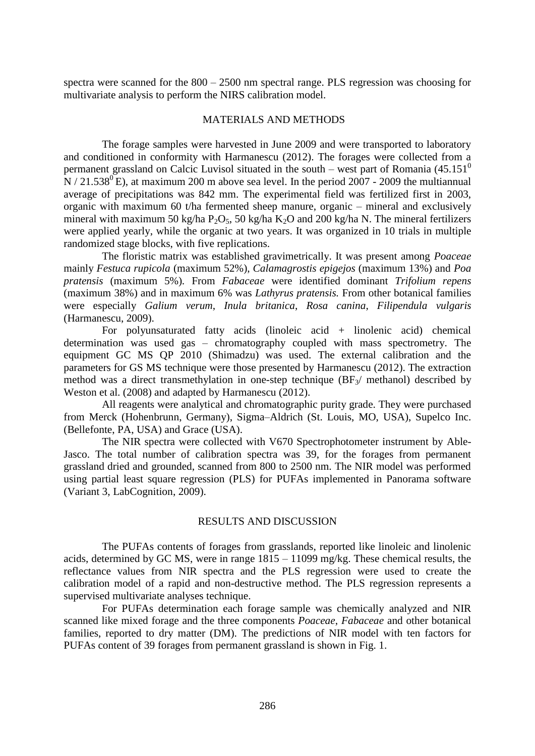spectra were scanned for the 800 – 2500 nm spectral range. PLS regression was choosing for multivariate analysis to perform the NIRS calibration model.

## MATERIALS AND METHODS

The forage samples were harvested in June 2009 and were transported to laboratory and conditioned in conformity with Harmanescu (2012). The forages were collected from a permanent grassland on Calcic Luvisol situated in the south – west part of Romania  $(45.151^{\circ}$  $N/21.538^{0}$  E), at maximum 200 m above sea level. In the period 2007 - 2009 the multiannual average of precipitations was 842 mm. The experimental field was fertilized first in 2003, organic with maximum 60 t/ha fermented sheep manure, organic – mineral and exclusively mineral with maximum 50 kg/ha  $P_2O_5$ , 50 kg/ha K<sub>2</sub>O and 200 kg/ha N. The mineral fertilizers were applied yearly, while the organic at two years. It was organized in 10 trials in multiple randomized stage blocks, with five replications.

The floristic matrix was established gravimetrically. It was present among *Poaceae* mainly *Festuca rupicola* (maximum 52%), *Calamagrostis epigejos* (maximum 13%) and *Poa pratensis* (maximum 5%)*.* From *Fabaceae* were identified dominant *Trifolium repens*  (maximum 38%) and in maximum 6% was *Lathyrus pratensis.* From other botanical families were especially *Galium verum*, *Inula britanica*, *Rosa canina*, *Filipendula vulgaris*  (Harmanescu, 2009).

For polyunsaturated fatty acids (linoleic acid + linolenic acid) chemical determination was used gas – chromatography coupled with mass spectrometry. The equipment GC MS QP 2010 (Shimadzu) was used. The external calibration and the parameters for GS MS technique were those presented by Harmanescu (2012). The extraction method was a direct transmethylation in one-step technique  $(BF_3/$  methanol) described by Weston et al. (2008) and adapted by Harmanescu (2012).

All reagents were analytical and chromatographic purity grade. They were purchased from Merck (Hohenbrunn, Germany), Sigma–Aldrich (St. Louis, MO, USA), Supelco Inc. (Bellefonte, PA, USA) and Grace (USA).

The NIR spectra were collected with V670 Spectrophotometer instrument by Able-Jasco. The total number of calibration spectra was 39, for the forages from permanent grassland dried and grounded, scanned from 800 to 2500 nm. The NIR model was performed using partial least square regression (PLS) for PUFAs implemented in Panorama software (Variant 3, LabCognition, 2009).

## RESULTS AND DISCUSSION

The PUFAs contents of forages from grasslands, reported like linoleic and linolenic acids, determined by GC MS, were in range  $1815 - 11099$  mg/kg. These chemical results, the reflectance values from NIR spectra and the PLS regression were used to create the calibration model of a rapid and non-destructive method. The PLS regression represents a supervised multivariate analyses technique.

For PUFAs determination each forage sample was chemically analyzed and NIR scanned like mixed forage and the three components *Poaceae*, *Fabaceae* and other botanical families, reported to dry matter (DM). The predictions of NIR model with ten factors for PUFAs content of 39 forages from permanent grassland is shown in Fig. 1.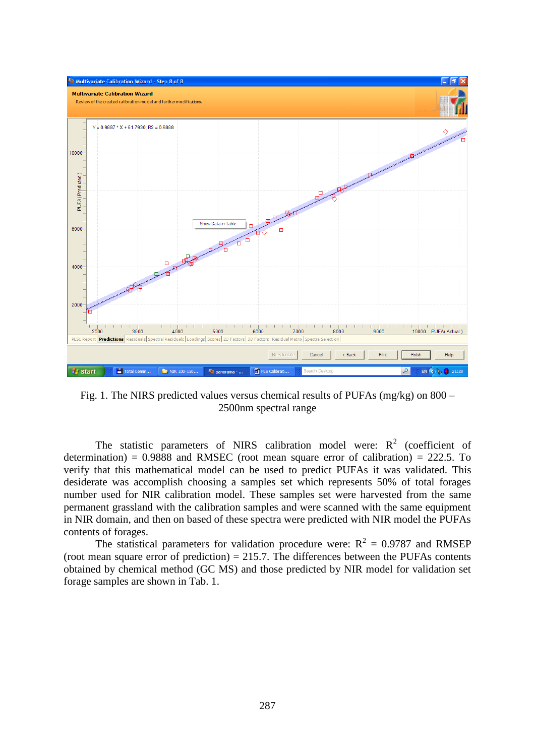

Fig. 1. The NIRS predicted values versus chemical results of PUFAs (mg/kg) on 800 – 2500nm spectral range

The statistic parameters of NIRS calibration model were:  $R^2$  (coefficient of determination) =  $0.9888$  and RMSEC (root mean square error of calibration) = 222.5. To verify that this mathematical model can be used to predict PUFAs it was validated. This desiderate was accomplish choosing a samples set which represents 50% of total forages number used for NIR calibration model. These samples set were harvested from the same permanent grassland with the calibration samples and were scanned with the same equipment in NIR domain, and then on based of these spectra were predicted with NIR model the PUFAs contents of forages.

The statistical parameters for validation procedure were:  $R^2 = 0.9787$  and RMSEP (root mean square error of prediction) = 215.7. The differences between the PUFAs contents obtained by chemical method (GC MS) and those predicted by NIR model for validation set forage samples are shown in Tab. 1.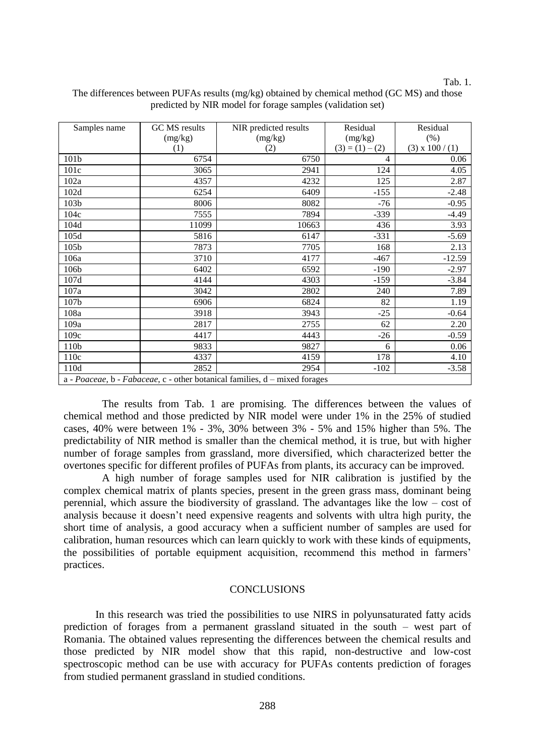#### Tab. 1.

| Samples name                                                               | GC MS results | NIR predicted results | Residual          | Residual               |
|----------------------------------------------------------------------------|---------------|-----------------------|-------------------|------------------------|
|                                                                            | (mg/kg)       | (mg/kg)               | (mg/kg)           | (% )                   |
|                                                                            | (1)           | (2)                   | $(3) = (1) - (2)$ | $(3) \times 100 / (1)$ |
| 101b                                                                       | 6754          | 6750                  | 4                 | 0.06                   |
| 101c                                                                       | 3065          | 2941                  | 124               | 4.05                   |
| 102a                                                                       | 4357          | 4232                  | 125               | 2.87                   |
| 102d                                                                       | 6254          | 6409                  | $-155$            | $-2.48$                |
| 103b                                                                       | 8006          | 8082                  | $-76$             | $-0.95$                |
| 104c                                                                       | 7555          | 7894                  | $-339$            | $-4.49$                |
| 104d                                                                       | 11099         | 10663                 | 436               | 3.93                   |
| 105d                                                                       | 5816          | 6147                  | -331              | $-5.69$                |
| 105b                                                                       | 7873          | 7705                  | 168               | 2.13                   |
| 106a                                                                       | 3710          | 4177                  | $-467$            | $-12.59$               |
| 106b                                                                       | 6402          | 6592                  | $-190$            | $-2.97$                |
| 107d                                                                       | 4144          | 4303                  | $-159$            | $-3.84$                |
| 107a                                                                       | 3042          | 2802                  | 240               | 7.89                   |
| 107b                                                                       | 6906          | 6824                  | 82                | 1.19                   |
| 108a                                                                       | 3918          | 3943                  | $-25$             | $-0.64$                |
| 109a                                                                       | 2817          | 2755                  | 62                | 2.20                   |
| 109c                                                                       | 4417          | 4443                  | $-26$             | $-0.59$                |
| 110b                                                                       | 9833          | 9827                  | 6                 | 0.06                   |
| 110c                                                                       | 4337          | 4159                  | 178               | 4.10                   |
| 110d                                                                       | 2852          | 2954                  | $-102$            | $-3.58$                |
| a - Poaceae, b - Fabaceae, c - other botanical families, d - mixed forages |               |                       |                   |                        |

# The differences between PUFAs results (mg/kg) obtained by chemical method (GC MS) and those predicted by NIR model for forage samples (validation set)

The results from Tab. 1 are promising. The differences between the values of chemical method and those predicted by NIR model were under 1% in the 25% of studied cases, 40% were between  $1\%$  - 3%, 30% between 3% - 5% and 15% higher than 5%. The predictability of NIR method is smaller than the chemical method, it is true, but with higher number of forage samples from grassland, more diversified, which characterized better the overtones specific for different profiles of PUFAs from plants, its accuracy can be improved.

A high number of forage samples used for NIR calibration is justified by the complex chemical matrix of plants species, present in the green grass mass, dominant being perennial, which assure the biodiversity of grassland. The advantages like the low – cost of analysis because it doesn't need expensive reagents and solvents with ultra high purity, the short time of analysis, a good accuracy when a sufficient number of samples are used for calibration, human resources which can learn quickly to work with these kinds of equipments, the possibilities of portable equipment acquisition, recommend this method in farmers' practices.

# **CONCLUSIONS**

In this research was tried the possibilities to use NIRS in polyunsaturated fatty acids prediction of forages from a permanent grassland situated in the south – west part of Romania. The obtained values representing the differences between the chemical results and those predicted by NIR model show that this rapid, non-destructive and low-cost spectroscopic method can be use with accuracy for PUFAs contents prediction of forages from studied permanent grassland in studied conditions.